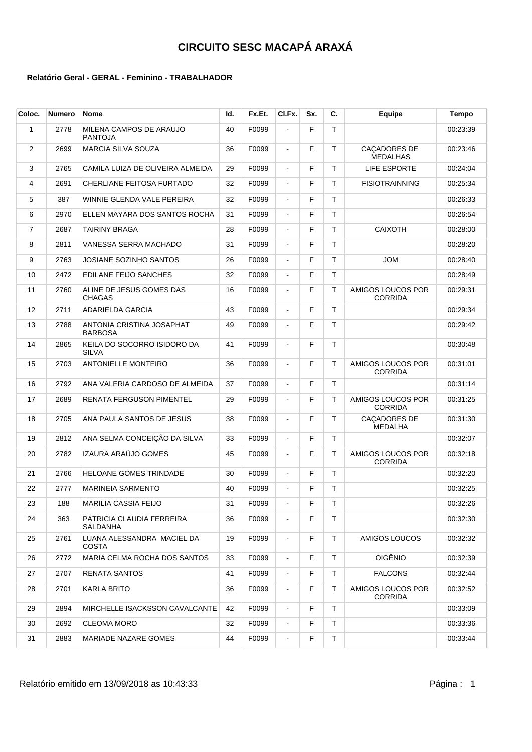| Coloc.         | <b>Numero</b> | <b>Nome</b>                                 | ld. | Fx.Et. | CI.Fx.         | Sx. | C. | Equipe                              | Tempo    |
|----------------|---------------|---------------------------------------------|-----|--------|----------------|-----|----|-------------------------------------|----------|
| 1              | 2778          | MILENA CAMPOS DE ARAUJO<br><b>PANTOJA</b>   | 40  | F0099  | ÷,             | F   | T  |                                     | 00:23:39 |
| 2              | 2699          | <b>MARCIA SILVA SOUZA</b>                   | 36  | F0099  | $\blacksquare$ | F   | T  | CAÇADORES DE<br><b>MEDALHAS</b>     | 00:23:46 |
| 3              | 2765          | CAMILA LUIZA DE OLIVEIRA ALMEIDA            | 29  | F0099  | $\blacksquare$ | F   | T  | LIFE ESPORTE                        | 00:24:04 |
| 4              | 2691          | CHERLIANE FEITOSA FURTADO                   | 32  | F0099  | $\blacksquare$ | F   | т  | <b>FISIOTRAINNING</b>               | 00:25:34 |
| 5              | 387           | WINNIE GLENDA VALE PEREIRA                  | 32  | F0099  | $\blacksquare$ | F   | T  |                                     | 00:26:33 |
| 6              | 2970          | ELLEN MAYARA DOS SANTOS ROCHA               | 31  | F0099  | $\blacksquare$ | F   | T. |                                     | 00:26:54 |
| $\overline{7}$ | 2687          | <b>TAIRINY BRAGA</b>                        | 28  | F0099  | $\blacksquare$ | F   | T. | <b>CAIXOTH</b>                      | 00:28:00 |
| 8              | 2811          | VANESSA SERRA MACHADO                       | 31  | F0099  | $\blacksquare$ | F   | T  |                                     | 00:28:20 |
| 9              | 2763          | <b>JOSIANE SOZINHO SANTOS</b>               | 26  | F0099  | $\blacksquare$ | F   | T  | <b>JOM</b>                          | 00:28:40 |
| 10             | 2472          | EDILANE FEIJO SANCHES                       | 32  | F0099  | $\blacksquare$ | F   | T  |                                     | 00:28:49 |
| 11             | 2760          | ALINE DE JESUS GOMES DAS<br><b>CHAGAS</b>   | 16  | F0099  | $\blacksquare$ | F   | т  | AMIGOS LOUCOS POR<br><b>CORRIDA</b> | 00:29:31 |
| 12             | 2711          | ADARIELDA GARCIA                            | 43  | F0099  | $\blacksquare$ | F   | T. |                                     | 00:29:34 |
| 13             | 2788          | ANTONIA CRISTINA JOSAPHAT<br><b>BARBOSA</b> | 49  | F0099  | $\blacksquare$ | F   | T  |                                     | 00:29:42 |
| 14             | 2865          | KEILA DO SOCORRO ISIDORO DA<br><b>SILVA</b> | 41  | F0099  | $\blacksquare$ | F   | T  |                                     | 00:30:48 |
| 15             | 2703          | <b>ANTONIELLE MONTEIRO</b>                  | 36  | F0099  | $\blacksquare$ | F   | т  | AMIGOS LOUCOS POR<br><b>CORRIDA</b> | 00:31:01 |
| 16             | 2792          | ANA VALERIA CARDOSO DE ALMEIDA              | 37  | F0099  | $\blacksquare$ | F   | T  |                                     | 00:31:14 |
| 17             | 2689          | RENATA FERGUSON PIMENTEL                    | 29  | F0099  | $\blacksquare$ | F   | T  | AMIGOS LOUCOS POR<br><b>CORRIDA</b> | 00:31:25 |
| 18             | 2705          | ANA PAULA SANTOS DE JESUS                   | 38  | F0099  | $\blacksquare$ | F   | т  | CAÇADORES DE<br><b>MEDALHA</b>      | 00:31:30 |
| 19             | 2812          | ANA SELMA CONCEIÇÃO DA SILVA                | 33  | F0099  | $\blacksquare$ | F   | T. |                                     | 00:32:07 |
| 20             | 2782          | IZAURA ARAÚJO GOMES                         | 45  | F0099  | $\blacksquare$ | F   | т  | AMIGOS LOUCOS POR<br><b>CORRIDA</b> | 00:32:18 |
| 21             | 2766          | HELOANE GOMES TRINDADE                      | 30  | F0099  | $\blacksquare$ | F   | т  |                                     | 00:32:20 |
| 22             | 2777          | <b>MARINEIA SARMENTO</b>                    | 40  | F0099  | $\blacksquare$ | F   | T  |                                     | 00:32:25 |
| 23             | 188           | <b>MARILIA CASSIA FEIJO</b>                 | 31  | F0099  | $\blacksquare$ | F   | т  |                                     | 00:32:26 |
| 24             | 363           | PATRICIA CLAUDIA FERREIRA<br>SALDANHA       | 36  | F0099  |                | F   | T. |                                     | 00:32:30 |
| 25             | 2761          | LUANA ALESSANDRA MACIEL DA<br>COSTA         | 19  | F0099  | $\blacksquare$ | F   | T. | AMIGOS LOUCOS                       | 00:32:32 |
| 26             | 2772          | MARIA CELMA ROCHA DOS SANTOS                | 33  | F0099  | $\blacksquare$ | F   | T. | <b>OIGÊNIO</b>                      | 00:32:39 |
| 27             | 2707          | <b>RENATA SANTOS</b>                        | 41  | F0099  | $\blacksquare$ | F   | T. | <b>FALCONS</b>                      | 00:32:44 |
| 28             | 2701          | <b>KARLA BRITO</b>                          | 36  | F0099  | $\blacksquare$ | F   | т  | AMIGOS LOUCOS POR<br><b>CORRIDA</b> | 00:32:52 |
| 29             | 2894          | MIRCHELLE ISACKSSON CAVALCANTE              | 42  | F0099  | $\blacksquare$ | F   | T. |                                     | 00:33:09 |
| 30             | 2692          | <b>CLEOMA MORO</b>                          | 32  | F0099  | $\blacksquare$ | F   | T. |                                     | 00:33:36 |
| 31             | 2883          | MARIADE NAZARE GOMES                        | 44  | F0099  | $\blacksquare$ | F   | Τ  |                                     | 00:33:44 |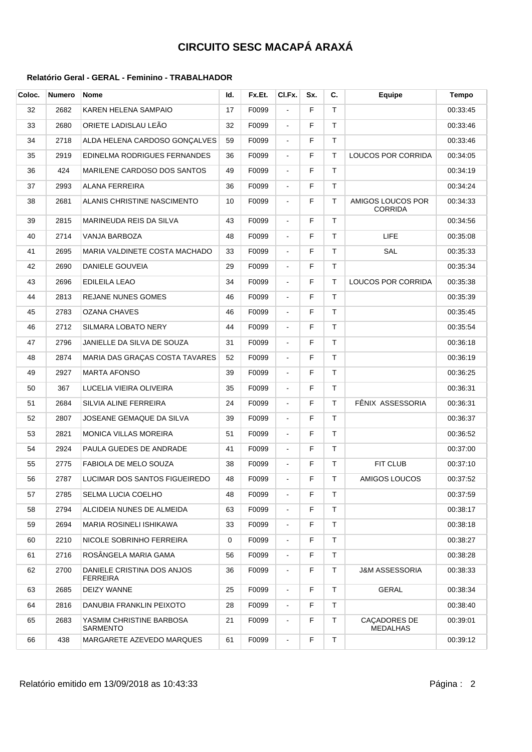| Coloc. | <b>Numero</b> | Nome                                   | ld. | Fx.Et. | CI.Fx.         | Sx. | C.           | Equipe                              | <b>Tempo</b> |
|--------|---------------|----------------------------------------|-----|--------|----------------|-----|--------------|-------------------------------------|--------------|
| 32     | 2682          | KAREN HELENA SAMPAIO                   | 17  | F0099  | ÷,             | F   | T.           |                                     | 00:33:45     |
| 33     | 2680          | ORIETE LADISLAU LEÃO                   | 32  | F0099  | $\blacksquare$ | F   | T.           |                                     | 00:33:46     |
| 34     | 2718          | ALDA HELENA CARDOSO GONÇALVES          | 59  | F0099  | $\blacksquare$ | F   | T.           |                                     | 00:33:46     |
| 35     | 2919          | EDINELMA RODRIGUES FERNANDES           | 36  | F0099  | $\blacksquare$ | F   | T.           | LOUCOS POR CORRIDA                  | 00:34:05     |
| 36     | 424           | MARILENE CARDOSO DOS SANTOS            | 49  | F0099  | $\blacksquare$ | F   | T.           |                                     | 00:34:19     |
| 37     | 2993          | ALANA FERREIRA                         | 36  | F0099  | $\blacksquare$ | F   | T.           |                                     | 00:34:24     |
| 38     | 2681          | ALANIS CHRISTINE NASCIMENTO            | 10  | F0099  | $\blacksquare$ | F   | T.           | AMIGOS LOUCOS POR<br><b>CORRIDA</b> | 00:34:33     |
| 39     | 2815          | MARINEUDA REIS DA SILVA                | 43  | F0099  | $\blacksquare$ | F   | T.           |                                     | 00:34:56     |
| 40     | 2714          | VANJA BARBOZA                          | 48  | F0099  | $\blacksquare$ | F   | T.           | <b>LIFE</b>                         | 00:35:08     |
| 41     | 2695          | MARIA VALDINETE COSTA MACHADO          | 33  | F0099  | $\blacksquare$ | F   | $\mathsf{T}$ | SAL                                 | 00:35:33     |
| 42     | 2690          | DANIELE GOUVEIA                        | 29  | F0099  | $\blacksquare$ | F   | T.           |                                     | 00:35:34     |
| 43     | 2696          | <b>EDILEILA LEAO</b>                   | 34  | F0099  | $\blacksquare$ | F   | T            | LOUCOS POR CORRIDA                  | 00:35:38     |
| 44     | 2813          | REJANE NUNES GOMES                     | 46  | F0099  | $\blacksquare$ | F   | T.           |                                     | 00:35:39     |
| 45     | 2783          | <b>OZANA CHAVES</b>                    | 46  | F0099  | $\blacksquare$ | F   | T.           |                                     | 00:35:45     |
| 46     | 2712          | SILMARA LOBATO NERY                    | 44  | F0099  | $\blacksquare$ | F   | $\mathsf{T}$ |                                     | 00:35:54     |
| 47     | 2796          | JANIELLE DA SILVA DE SOUZA             | 31  | F0099  | $\blacksquare$ | F   | T.           |                                     | 00:36:18     |
| 48     | 2874          | MARIA DAS GRAÇAS COSTA TAVARES         | 52  | F0099  | $\blacksquare$ | F   | T.           |                                     | 00:36:19     |
| 49     | 2927          | <b>MARTA AFONSO</b>                    | 39  | F0099  | $\blacksquare$ | F   | T.           |                                     | 00:36:25     |
| 50     | 367           | LUCELIA VIEIRA OLIVEIRA                | 35  | F0099  | $\blacksquare$ | F   | T.           |                                     | 00:36:31     |
| 51     | 2684          | SILVIA ALINE FERREIRA                  | 24  | F0099  | $\blacksquare$ | F   | T.           | FÊNIX ASSESSORIA                    | 00:36:31     |
| 52     | 2807          | JOSEANE GEMAQUE DA SILVA               | 39  | F0099  | $\blacksquare$ | F   | T.           |                                     | 00:36:37     |
| 53     | 2821          | MONICA VILLAS MOREIRA                  | 51  | F0099  | $\blacksquare$ | F   | T.           |                                     | 00:36:52     |
| 54     | 2924          | PAULA GUEDES DE ANDRADE                | 41  | F0099  | $\blacksquare$ | F   | T.           |                                     | 00:37:00     |
| 55     | 2775          | FABIOLA DE MELO SOUZA                  | 38  | F0099  | $\blacksquare$ | F   | $\mathsf T$  | FIT CLUB                            | 00:37:10     |
| 56     | 2787          | LUCIMAR DOS SANTOS FIGUEIREDO          | 48  | F0099  | $\blacksquare$ | F   | T.           | AMIGOS LOUCOS                       | 00:37:52     |
| 57     | 2785          | SELMA LUCIA COELHO                     | 48  | F0099  | $\blacksquare$ | F   | Τ            |                                     | 00:37:59     |
| 58     | 2794          | ALCIDEIA NUNES DE ALMEIDA              | 63  | F0099  | $\blacksquare$ | F   | T.           |                                     | 00:38:17     |
| 59     | 2694          | MARIA ROSINELI ISHIKAWA                | 33  | F0099  | $\blacksquare$ | F   | T.           |                                     | 00:38:18     |
| 60     | 2210          | NICOLE SOBRINHO FERREIRA               | 0   | F0099  | $\blacksquare$ | F   | Τ            |                                     | 00:38:27     |
| 61     | 2716          | ROSÂNGELA MARIA GAMA                   | 56  | F0099  | $\blacksquare$ | F   | Τ            |                                     | 00:38:28     |
| 62     | 2700          | DANIELE CRISTINA DOS ANJOS<br>FERREIRA | 36  | F0099  | $\blacksquare$ | F   | T.           | <b>J&amp;M ASSESSORIA</b>           | 00:38:33     |
| 63     | 2685          | DEIZY WANNE                            | 25  | F0099  | $\blacksquare$ | F   | T.           | GERAL                               | 00:38:34     |
| 64     | 2816          | DANUBIA FRANKLIN PEIXOTO               | 28  | F0099  | $\blacksquare$ | F   | T.           |                                     | 00:38:40     |
| 65     | 2683          | YASMIM CHRISTINE BARBOSA<br>SARMENTO   | 21  | F0099  | $\blacksquare$ | F   | T            | CAÇADORES DE<br><b>MEDALHAS</b>     | 00:39:01     |
| 66     | 438           | MARGARETE AZEVEDO MARQUES              | 61  | F0099  | $\blacksquare$ | F   | T.           |                                     | 00:39:12     |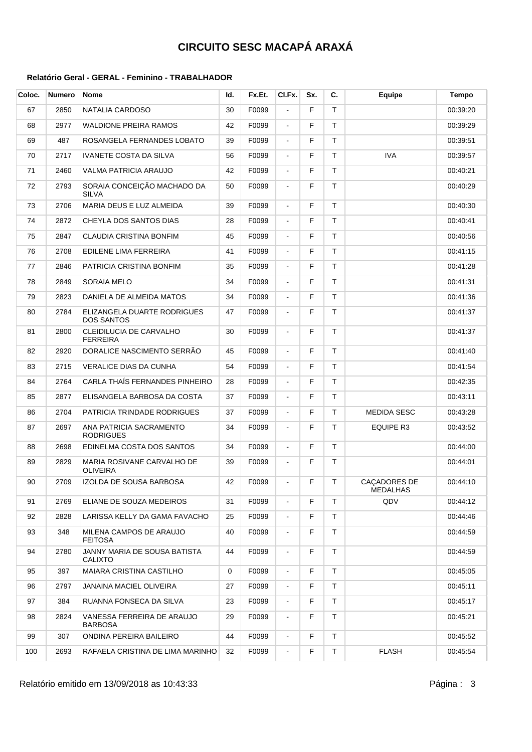| Coloc. | Numero | <b>Nome</b>                                    | ld. | Fx.Et. | CI.Fx.         | Sx. | C. | <b>Equipe</b>            | <b>Tempo</b> |
|--------|--------|------------------------------------------------|-----|--------|----------------|-----|----|--------------------------|--------------|
| 67     | 2850   | <b>NATALIA CARDOSO</b>                         | 30  | F0099  | $\blacksquare$ | F   | T  |                          | 00:39:20     |
| 68     | 2977   | WALDIONE PREIRA RAMOS                          | 42  | F0099  | $\blacksquare$ | F   | T. |                          | 00:39:29     |
| 69     | 487    | ROSANGELA FERNANDES LOBATO                     | 39  | F0099  | $\blacksquare$ | F   | Τ  |                          | 00:39:51     |
| 70     | 2717   | <b>IVANETE COSTA DA SILVA</b>                  | 56  | F0099  | $\blacksquare$ | F   | T. | <b>IVA</b>               | 00:39:57     |
| 71     | 2460   | VALMA PATRICIA ARAUJO                          | 42  | F0099  | $\blacksquare$ | F   | T. |                          | 00:40:21     |
| 72     | 2793   | SORAIA CONCEIÇÃO MACHADO DA<br><b>SILVA</b>    | 50  | F0099  | $\blacksquare$ | F   | T. |                          | 00:40:29     |
| 73     | 2706   | MARIA DEUS E LUZ ALMEIDA                       | 39  | F0099  | $\blacksquare$ | F   | T. |                          | 00:40:30     |
| 74     | 2872   | CHEYLA DOS SANTOS DIAS                         | 28  | F0099  | $\blacksquare$ | F   | T. |                          | 00:40:41     |
| 75     | 2847   | CLAUDIA CRISTINA BONFIM                        | 45  | F0099  |                | F   | T. |                          | 00:40:56     |
| 76     | 2708   | EDILENE LIMA FERREIRA                          | 41  | F0099  | $\blacksquare$ | F   | T. |                          | 00:41:15     |
| 77     | 2846   | PATRICIA CRISTINA BONFIM                       | 35  | F0099  | $\blacksquare$ | F   | T. |                          | 00:41:28     |
| 78     | 2849   | SORAIA MELO                                    | 34  | F0099  | $\blacksquare$ | F   | T  |                          | 00:41:31     |
| 79     | 2823   | DANIELA DE ALMEIDA MATOS                       | 34  | F0099  | $\blacksquare$ | F   | T. |                          | 00:41:36     |
| 80     | 2784   | ELIZANGELA DUARTE RODRIGUES<br>DOS SANTOS      | 47  | F0099  | $\blacksquare$ | F   | T  |                          | 00:41:37     |
| 81     | 2800   | CLEIDILUCIA DE CARVALHO<br><b>FERREIRA</b>     | 30  | F0099  | $\blacksquare$ | F   | T  |                          | 00:41:37     |
| 82     | 2920   | DORALICE NASCIMENTO SERRÃO                     | 45  | F0099  | $\blacksquare$ | F   | T  |                          | 00:41:40     |
| 83     | 2715   | <b>VERALICE DIAS DA CUNHA</b>                  | 54  | F0099  | $\blacksquare$ | F   | T. |                          | 00:41:54     |
| 84     | 2764   | CARLA THAÍS FERNANDES PINHEIRO                 | 28  | F0099  | $\blacksquare$ | F   | T. |                          | 00:42:35     |
| 85     | 2877   | ELISANGELA BARBOSA DA COSTA                    | 37  | F0099  | $\blacksquare$ | F   | T. |                          | 00:43:11     |
| 86     | 2704   | PATRICIA TRINDADE RODRIGUES                    | 37  | F0099  | $\blacksquare$ | F   | T. | <b>MEDIDA SESC</b>       | 00:43:28     |
| 87     | 2697   | ANA PATRICIA SACRAMENTO<br><b>RODRIGUES</b>    | 34  | F0099  | $\blacksquare$ | F   | T. | <b>EQUIPE R3</b>         | 00:43:52     |
| 88     | 2698   | EDINELMA COSTA DOS SANTOS                      | 34  | F0099  | $\frac{1}{2}$  | F   | T. |                          | 00:44:00     |
| 89     | 2829   | <b>MARIA ROSIVANE CARVALHO DE</b><br>OLIVEIRA  | 39  | F0099  | $\blacksquare$ | F   | T. |                          | 00:44:01     |
| 90     | 2709   | IZOLDA DE SOUSA BARBOSA                        | 42  | F0099  | $\blacksquare$ | F   | T  | CAÇADORES DE<br>MEDALHAS | 00:44:10     |
| 91     | 2769   | ELIANE DE SOUZA MEDEIROS                       | 31  | F0099  | $\blacksquare$ | F   | Τ  | QDV                      | 00:44:12     |
| 92     | 2828   | LARISSA KELLY DA GAMA FAVACHO                  | 25  | F0099  | $\blacksquare$ | F   | Τ  |                          | 00:44:46     |
| 93     | 348    | MILENA CAMPOS DE ARAUJO<br><b>FEITOSA</b>      | 40  | F0099  | $\blacksquare$ | F   | Τ  |                          | 00:44:59     |
| 94     | 2780   | JANNY MARIA DE SOUSA BATISTA<br><b>CALIXTO</b> | 44  | F0099  | $\blacksquare$ | F   | T. |                          | 00:44:59     |
| 95     | 397    | MAIARA CRISTINA CASTILHO                       | 0   | F0099  | $\blacksquare$ | F   | T  |                          | 00:45:05     |
| 96     | 2797   | JANAINA MACIEL OLIVEIRA                        | 27  | F0099  | $\blacksquare$ | F   | Τ  |                          | 00:45:11     |
| 97     | 384    | RUANNA FONSECA DA SILVA                        | 23  | F0099  | $\blacksquare$ | F   | Τ  |                          | 00:45:17     |
| 98     | 2824   | VANESSA FERREIRA DE ARAUJO<br>BARBOSA          | 29  | F0099  | $\blacksquare$ | F   | T  |                          | 00:45:21     |
| 99     | 307    | ONDINA PEREIRA BAILEIRO                        | 44  | F0099  | $\blacksquare$ | F   | T. |                          | 00:45:52     |
| 100    | 2693   | RAFAELA CRISTINA DE LIMA MARINHO               | 32  | F0099  | $\blacksquare$ | F   | Τ  | <b>FLASH</b>             | 00:45:54     |